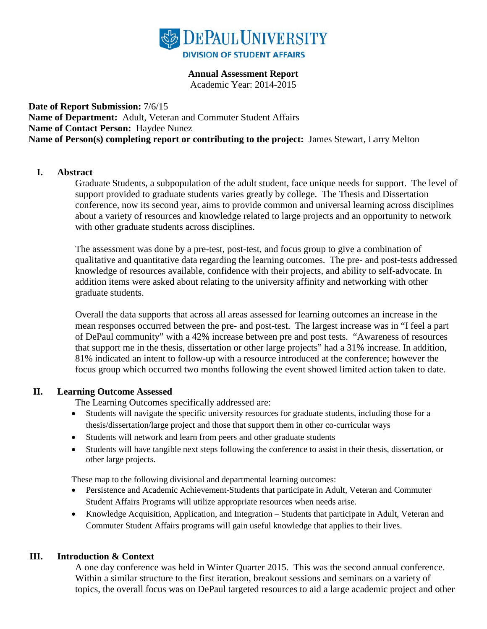

### **Annual Assessment Report**

Academic Year: 2014-2015

**Date of Report Submission:** 7/6/15 **Name of Department:** Adult, Veteran and Commuter Student Affairs **Name of Contact Person:** Haydee Nunez **Name of Person(s) completing report or contributing to the project:** James Stewart, Larry Melton

### **I. Abstract**

Graduate Students, a subpopulation of the adult student, face unique needs for support. The level of support provided to graduate students varies greatly by college. The Thesis and Dissertation conference, now its second year, aims to provide common and universal learning across disciplines about a variety of resources and knowledge related to large projects and an opportunity to network with other graduate students across disciplines.

The assessment was done by a pre-test, post-test, and focus group to give a combination of qualitative and quantitative data regarding the learning outcomes. The pre- and post-tests addressed knowledge of resources available, confidence with their projects, and ability to self-advocate. In addition items were asked about relating to the university affinity and networking with other graduate students.

Overall the data supports that across all areas assessed for learning outcomes an increase in the mean responses occurred between the pre- and post-test. The largest increase was in "I feel a part of DePaul community" with a 42% increase between pre and post tests. "Awareness of resources that support me in the thesis, dissertation or other large projects" had a 31% increase. In addition, 81% indicated an intent to follow-up with a resource introduced at the conference; however the focus group which occurred two months following the event showed limited action taken to date.

## **II. Learning Outcome Assessed**

The Learning Outcomes specifically addressed are:

- Students will navigate the specific university resources for graduate students, including those for a thesis/dissertation/large project and those that support them in other co-curricular ways
- Students will network and learn from peers and other graduate students
- Students will have tangible next steps following the conference to assist in their thesis, dissertation, or other large projects.

These map to the following divisional and departmental learning outcomes:

- Persistence and Academic Achievement-Students that participate in Adult, Veteran and Commuter Student Affairs Programs will utilize appropriate resources when needs arise.
- Knowledge Acquisition, Application, and Integration Students that participate in Adult, Veteran and Commuter Student Affairs programs will gain useful knowledge that applies to their lives.

## **III. Introduction & Context**

A one day conference was held in Winter Quarter 2015. This was the second annual conference. Within a similar structure to the first iteration, breakout sessions and seminars on a variety of topics, the overall focus was on DePaul targeted resources to aid a large academic project and other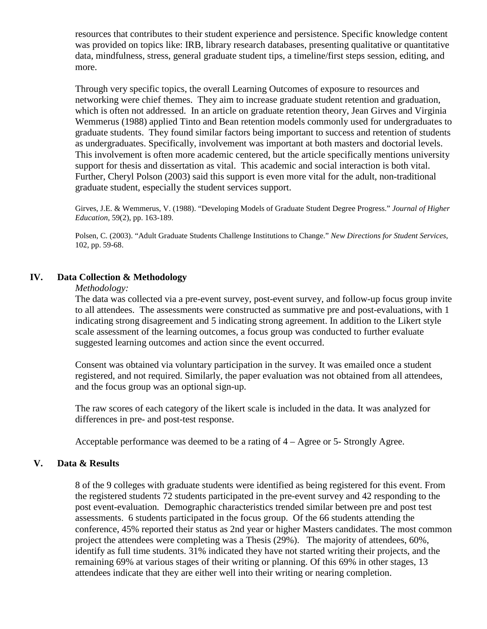resources that contributes to their student experience and persistence. Specific knowledge content was provided on topics like: IRB, library research databases, presenting qualitative or quantitative data, mindfulness, stress, general graduate student tips, a timeline/first steps session, editing, and more.

Through very specific topics, the overall Learning Outcomes of exposure to resources and networking were chief themes. They aim to increase graduate student retention and graduation, which is often not addressed. In an article on graduate retention theory, Jean Girves and Virginia Wemmerus (1988) applied Tinto and Bean retention models commonly used for undergraduates to graduate students. They found similar factors being important to success and retention of students as undergraduates. Specifically, involvement was important at both masters and doctorial levels. This involvement is often more academic centered, but the article specifically mentions university support for thesis and dissertation as vital. This academic and social interaction is both vital. Further, Cheryl Polson (2003) said this support is even more vital for the adult, non-traditional graduate student, especially the student services support.

Girves, J.E. & Wemmerus, V. (1988). "Developing Models of Graduate Student Degree Progress." *Journal of Higher Education*, 59(2), pp. 163-189.

Polsen, C. (2003). "Adult Graduate Students Challenge Institutions to Change." *New Directions for Student Services*, 102, pp. 59-68.

## **IV. Data Collection & Methodology**

#### *Methodology:*

The data was collected via a pre-event survey, post-event survey, and follow-up focus group invite to all attendees. The assessments were constructed as summative pre and post-evaluations, with 1 indicating strong disagreement and 5 indicating strong agreement. In addition to the Likert style scale assessment of the learning outcomes, a focus group was conducted to further evaluate suggested learning outcomes and action since the event occurred.

Consent was obtained via voluntary participation in the survey. It was emailed once a student registered, and not required. Similarly, the paper evaluation was not obtained from all attendees, and the focus group was an optional sign-up.

The raw scores of each category of the likert scale is included in the data. It was analyzed for differences in pre- and post-test response.

Acceptable performance was deemed to be a rating of 4 – Agree or 5- Strongly Agree.

## **V. Data & Results**

8 of the 9 colleges with graduate students were identified as being registered for this event. From the registered students 72 students participated in the pre-event survey and 42 responding to the post event-evaluation*.* Demographic characteristics trended similar between pre and post test assessments.6 students participated in the focus group. Of the 66 students attending the conference, 45% reported their status as 2nd year or higher Masters candidates. The most common project the attendees were completing was a Thesis (29%). The majority of attendees, 60%, identify as full time students. 31% indicated they have not started writing their projects, and the remaining 69% at various stages of their writing or planning. Of this 69% in other stages, 13 attendees indicate that they are either well into their writing or nearing completion.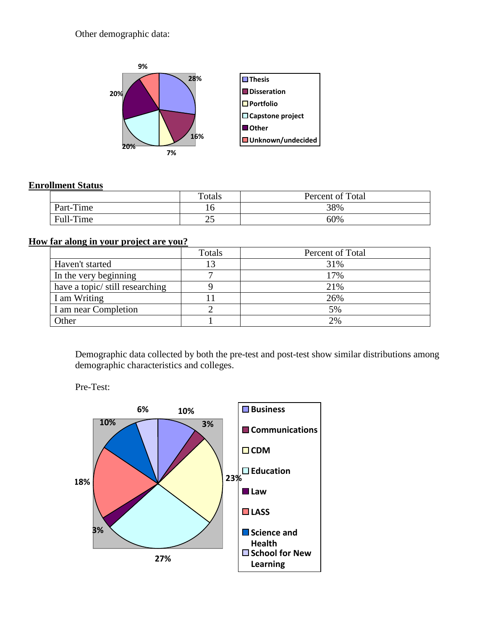Other demographic data:



## **Enrollment Status**

|           | Totals | Percent of Total |
|-----------|--------|------------------|
| Part-Time |        | 38%              |
| Full-Time | رے     | 60%              |

# **How far along in your project are you?**

|                                 | Totals | Percent of Total |
|---------------------------------|--------|------------------|
| Haven't started                 |        | 31%              |
| In the very beginning           |        | 17%              |
| have a topic/ still researching |        | 21%              |
| I am Writing                    |        | 26%              |
| I am near Completion            |        | 5%               |
| Other                           |        | 2%               |

Demographic data collected by both the pre-test and post-test show similar distributions among demographic characteristics and colleges.

Pre-Test:

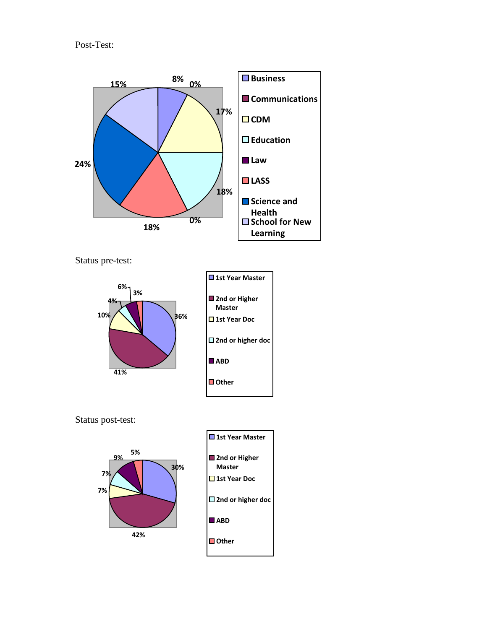Post-Test:



Status pre-test:



Status post-test:



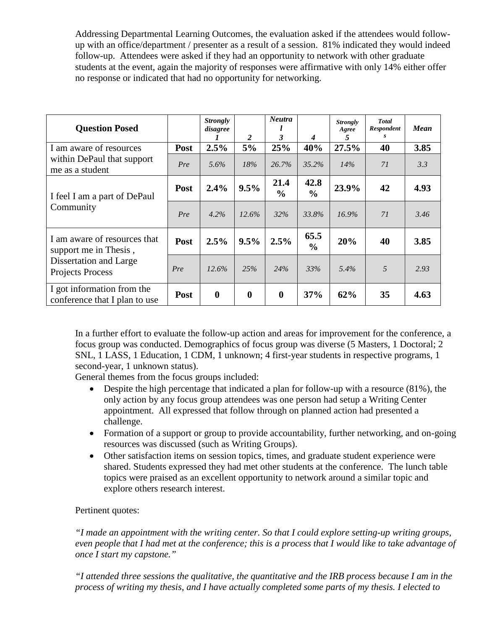Addressing Departmental Learning Outcomes, the evaluation asked if the attendees would followup with an office/department / presenter as a result of a session. 81% indicated they would indeed follow-up. Attendees were asked if they had an opportunity to network with other graduate students at the event, again the majority of responses were affirmative with only 14% either offer no response or indicated that had no opportunity for networking.

| <b>Question Posed</b>                                                                                      |      | <b>Strongly</b><br>disagree<br>1 | 2           | <b>Neutra</b><br>3    | 4                     | <b>Strongly</b><br>Agree<br>5 | <b>Total</b><br>Respondent | <b>Mean</b> |
|------------------------------------------------------------------------------------------------------------|------|----------------------------------|-------------|-----------------------|-----------------------|-------------------------------|----------------------------|-------------|
| I am aware of resources<br>within DePaul that support<br>me as a student                                   | Post | 2.5%                             | 5%          | 25%                   | 40%                   | 27.5%                         | 40                         | 3.85        |
|                                                                                                            | Pre  | 5.6%                             | 18%         | 26.7%                 | $35.2\%$              | 14%                           | 71                         | 3.3         |
| I feel I am a part of DePaul<br>Community                                                                  | Post | 2.4%                             | 9.5%        | 21.4<br>$\frac{0}{0}$ | 42.8<br>$\frac{6}{9}$ | 23.9%                         | 42                         | 4.93        |
|                                                                                                            | Pre  | 4.2%                             | 12.6%       | 32%                   | 33.8%                 | $16.9\%$                      | 71                         | 3.46        |
| I am aware of resources that<br>support me in Thesis,<br>Dissertation and Large<br><b>Projects Process</b> | Post | 2.5%                             | 9.5%        | 2.5%                  | 65.5<br>$\frac{6}{6}$ | 20%                           | 40                         | 3.85        |
|                                                                                                            | Pre  | 12.6%                            | 25%         | 24%                   | 33%                   | 5.4%                          | 5                          | 2.93        |
| I got information from the<br>conference that I plan to use                                                | Post | $\boldsymbol{0}$                 | $\mathbf 0$ | $\bf{0}$              | 37%                   | 62%                           | 35                         | 4.63        |

In a further effort to evaluate the follow-up action and areas for improvement for the conference, a focus group was conducted. Demographics of focus group was diverse (5 Masters, 1 Doctoral; 2 SNL, 1 LASS, 1 Education, 1 CDM, 1 unknown; 4 first-year students in respective programs, 1 second-year, 1 unknown status).

General themes from the focus groups included:

- Despite the high percentage that indicated a plan for follow-up with a resource (81%), the only action by any focus group attendees was one person had setup a Writing Center appointment. All expressed that follow through on planned action had presented a challenge.
- Formation of a support or group to provide accountability, further networking, and on-going resources was discussed (such as Writing Groups).
- Other satisfaction items on session topics, times, and graduate student experience were shared. Students expressed they had met other students at the conference. The lunch table topics were praised as an excellent opportunity to network around a similar topic and explore others research interest.

# Pertinent quotes:

*"I made an appointment with the writing center. So that I could explore setting-up writing groups, even people that I had met at the conference; this is a process that I would like to take advantage of once I start my capstone."*

*"I attended three sessions the qualitative, the quantitative and the IRB process because I am in the process of writing my thesis, and I have actually completed some parts of my thesis. I elected to*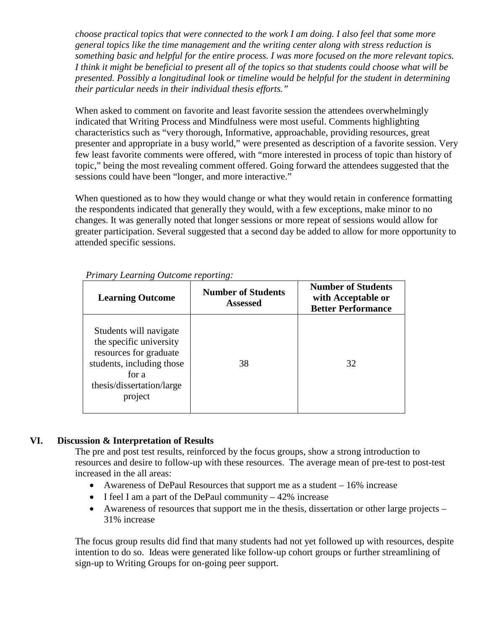*choose practical topics that were connected to the work I am doing. I also feel that some more general topics like the time management and the writing center along with stress reduction is something basic and helpful for the entire process. I was more focused on the more relevant topics. I think it might be beneficial to present all of the topics so that students could choose what will be presented. Possibly a longitudinal look or timeline would be helpful for the student in determining their particular needs in their individual thesis efforts."*

When asked to comment on favorite and least favorite session the attendees overwhelmingly indicated that Writing Process and Mindfulness were most useful. Comments highlighting characteristics such as "very thorough, Informative, approachable, providing resources, great presenter and appropriate in a busy world," were presented as description of a favorite session. Very few least favorite comments were offered, with "more interested in process of topic than history of topic," being the most revealing comment offered. Going forward the attendees suggested that the sessions could have been "longer, and more interactive."

When questioned as to how they would change or what they would retain in conference formatting the respondents indicated that generally they would, with a few exceptions, make minor to no changes. It was generally noted that longer sessions or more repeat of sessions would allow for greater participation. Several suggested that a second day be added to allow for more opportunity to attended specific sessions.

| <b>Learning Outcome</b>                                                                                                                                   | <b>Number of Students</b><br><b>Assessed</b> | <b>Number of Students</b><br>with Acceptable or<br><b>Better Performance</b> |  |  |  |
|-----------------------------------------------------------------------------------------------------------------------------------------------------------|----------------------------------------------|------------------------------------------------------------------------------|--|--|--|
| Students will navigate<br>the specific university<br>resources for graduate<br>students, including those<br>for a<br>thesis/dissertation/large<br>project | 38                                           | 32                                                                           |  |  |  |

*Primary Learning Outcome reporting:*

# **VI. Discussion & Interpretation of Results**

The pre and post test results, reinforced by the focus groups, show a strong introduction to resources and desire to follow-up with these resources. The average mean of pre-test to post-test increased in the all areas:

- Awareness of DePaul Resources that support me as a student 16% increase
- I feel I am a part of the DePaul community  $-42\%$  increase
- Awareness of resources that support me in the thesis, dissertation or other large projects 31% increase

The focus group results did find that many students had not yet followed up with resources, despite intention to do so. Ideas were generated like follow-up cohort groups or further streamlining of sign-up to Writing Groups for on-going peer support.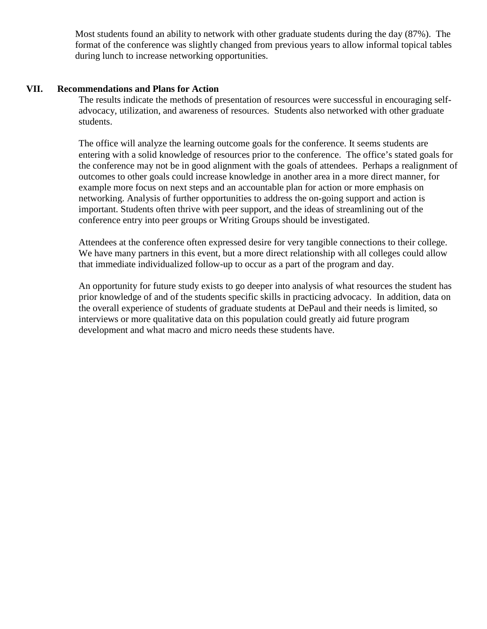Most students found an ability to network with other graduate students during the day (87%). The format of the conference was slightly changed from previous years to allow informal topical tables during lunch to increase networking opportunities.

## **VII. Recommendations and Plans for Action**

The results indicate the methods of presentation of resources were successful in encouraging selfadvocacy, utilization, and awareness of resources. Students also networked with other graduate students.

The office will analyze the learning outcome goals for the conference. It seems students are entering with a solid knowledge of resources prior to the conference. The office's stated goals for the conference may not be in good alignment with the goals of attendees. Perhaps a realignment of outcomes to other goals could increase knowledge in another area in a more direct manner, for example more focus on next steps and an accountable plan for action or more emphasis on networking. Analysis of further opportunities to address the on-going support and action is important. Students often thrive with peer support, and the ideas of streamlining out of the conference entry into peer groups or Writing Groups should be investigated.

Attendees at the conference often expressed desire for very tangible connections to their college. We have many partners in this event, but a more direct relationship with all colleges could allow that immediate individualized follow-up to occur as a part of the program and day.

An opportunity for future study exists to go deeper into analysis of what resources the student has prior knowledge of and of the students specific skills in practicing advocacy. In addition, data on the overall experience of students of graduate students at DePaul and their needs is limited, so interviews or more qualitative data on this population could greatly aid future program development and what macro and micro needs these students have.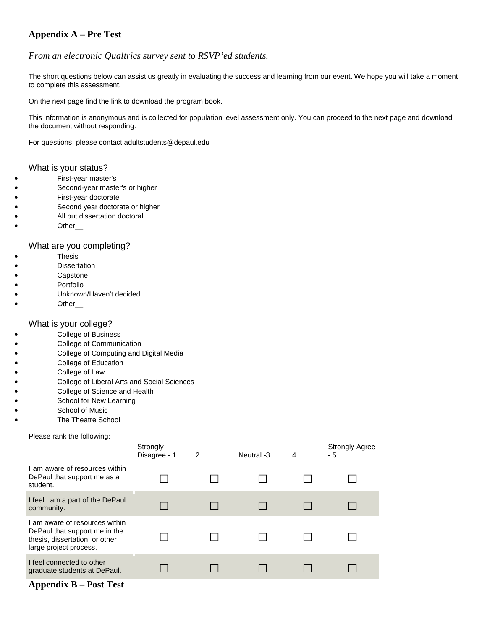# **Appendix A – Pre Test**

#### *From an electronic Qualtrics survey sent to RSVP'ed students.*

The short questions below can assist us greatly in evaluating the success and learning from our event. We hope you will take a moment to complete this assessment.

On the next page find the link to download the program book.

This information is anonymous and is collected for population level assessment only. You can proceed to the next page and download the document without responding.

For questions, please contact adultstudents@depaul.edu

#### What is your status?

- First-year master's
- Second-year master's or higher
- First-year doctorate
- Second year doctorate or higher
- All but dissertation doctoral
- Other\_\_\_

#### What are you completing?

- **Thesis**
- Dissertation
- Capstone
- Portfolio
- Unknown/Haven't decided
- Other\_\_\_

#### What is your college?

- College of Business
- College of Communication
- College of Computing and Digital Media
- College of Education
- College of Law
- College of Liberal Arts and Social Sciences
- College of Science and Health
- School for New Learning
- School of Music
- The Theatre School

#### Please rank the following:

|                                                                                                                             | Strongly<br>Disagree - 1 | $\overline{2}$ | Neutral -3 | 4 | <b>Strongly Agree</b><br>- 5 |
|-----------------------------------------------------------------------------------------------------------------------------|--------------------------|----------------|------------|---|------------------------------|
| I am aware of resources within<br>DePaul that support me as a<br>student.                                                   |                          |                |            |   |                              |
| I feel I am a part of the DePaul<br>community.                                                                              |                          |                |            |   |                              |
| I am aware of resources within<br>DePaul that support me in the<br>thesis, dissertation, or other<br>large project process. |                          |                |            |   |                              |
| I feel connected to other<br>graduate students at DePaul.                                                                   |                          |                |            |   |                              |

#### **Appendix B – Post Test**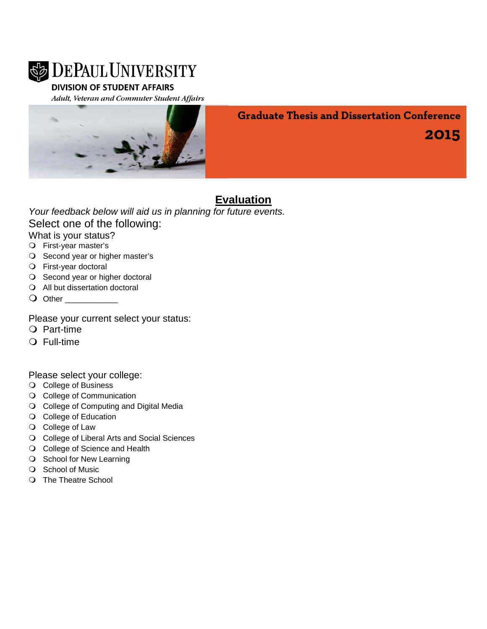

# **DIVISION OF STUDENT AFFAIRS**

Adult, Veteran and Commuter Student Affairs



**Graduate Thesis and Dissertation Conference**

**2015**

# **Evaluation**

# *Your feedback below will aid us in planning for future events.* Select one of the following:

What is your status?

- First-year master's
- O Second year or higher master's
- First-year doctoral
- O Second year or higher doctoral
- All but dissertation doctoral
- O Other

# Please your current select your status:

- O Part-time
- Full-time

Please select your college:

- College of Business
- O College of Communication
- O College of Computing and Digital Media
- O College of Education
- O College of Law
- O College of Liberal Arts and Social Sciences
- O College of Science and Health
- O School for New Learning
- O School of Music
- O The Theatre School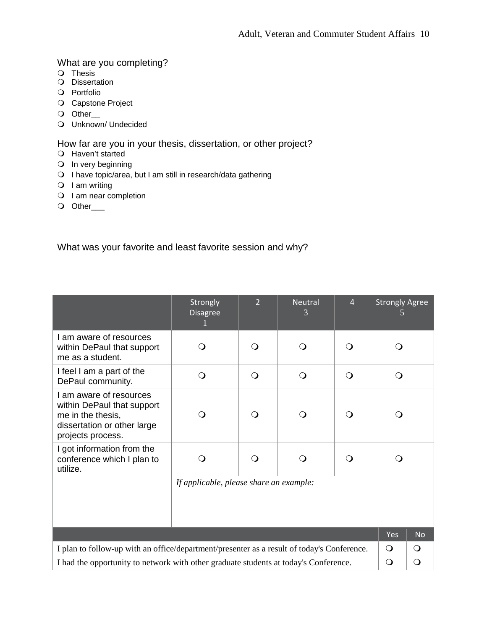# What are you completing?

- O Thesis
- O Dissertation
- Portfolio
- O Capstone Project
- O Other\_
- Unknown/ Undecided

How far are you in your thesis, dissertation, or other project?

- Haven't started
- $\bigcirc$  In very beginning
- I have topic/area, but I am still in research/data gathering
- $O$  I am writing
- O I am near completion
- O Other\_\_\_

What was your favorite and least favorite session and why?

|                                                                                                                                | Strongly<br><b>Disagree</b>             | $\overline{2}$ | <b>Neutral</b> | $\overline{4}$ | <b>Strongly Agree</b> |              |
|--------------------------------------------------------------------------------------------------------------------------------|-----------------------------------------|----------------|----------------|----------------|-----------------------|--------------|
| I am aware of resources<br>within DePaul that support<br>me as a student.                                                      | ⊖ )                                     | $\circ$        | $\Omega$       | O              | O                     |              |
| I feel I am a part of the<br>DePaul community.                                                                                 | O                                       | $\Omega$       | $\Omega$       | $\mathsf{O}$   | $\mathsf{O}$          |              |
| I am aware of resources<br>within DePaul that support<br>me in the thesis,<br>dissertation or other large<br>projects process. |                                         | $\Omega$       | $\circ$        | ∩              | $\Omega$              |              |
| I got information from the<br>conference which I plan to<br>utilize.                                                           |                                         | O              |                |                |                       |              |
|                                                                                                                                | If applicable, please share an example: |                |                |                |                       |              |
|                                                                                                                                |                                         |                |                |                | Yes                   | <b>No</b>    |
| I plan to follow-up with an office/department/presenter as a result of today's Conference.                                     |                                         |                |                |                |                       | $\circ$      |
| I had the opportunity to network with other graduate students at today's Conference.                                           |                                         |                |                |                |                       | $\mathsf{O}$ |